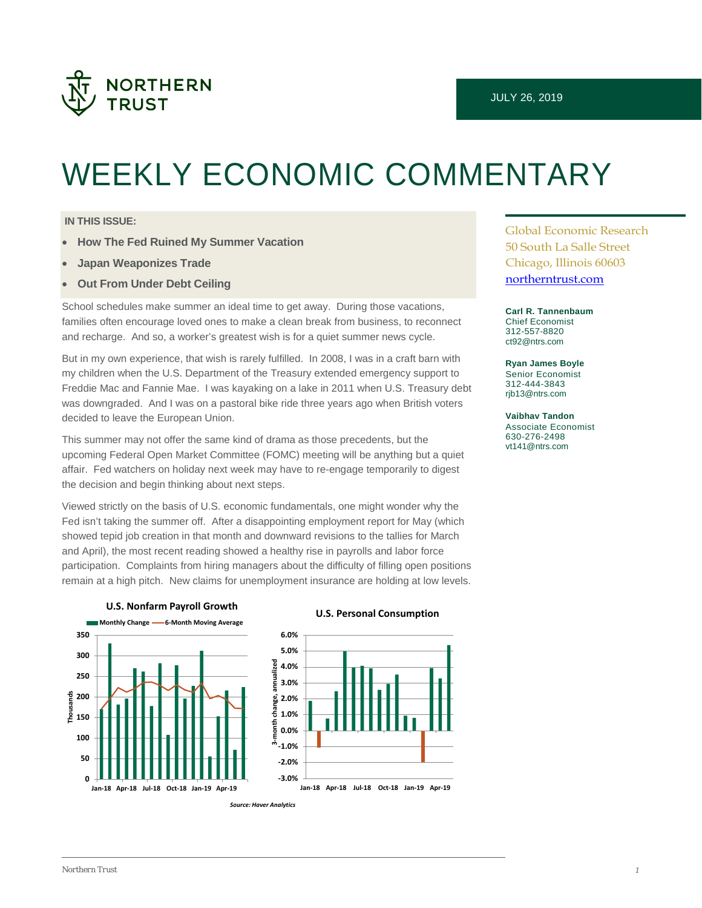

# WEEKLY ECONOMIC COMMENTARY

#### **IN THIS ISSUE:**

- **How The Fed Ruined My Summer Vacation**
- **Japan Weaponizes Trade**
- **Out From Under Debt Ceiling**

School schedules make summer an ideal time to get away. During those vacations, families often encourage loved ones to make a clean break from business, to reconnect and recharge. And so, a worker's greatest wish is for a quiet summer news cycle.

But in my own experience, that wish is rarely fulfilled. In 2008, I was in a craft barn with my children when the U.S. Department of the Treasury extended emergency support to Freddie Mac and Fannie Mae. I was kayaking on a lake in 2011 when U.S. Treasury debt was downgraded. And I was on a pastoral bike ride three years ago when British voters decided to leave the European Union.

This summer may not offer the same kind of drama as those precedents, but the upcoming Federal Open Market Committee (FOMC) meeting will be anything but a quiet affair. Fed watchers on holiday next week may have to re-engage temporarily to digest the decision and begin thinking about next steps.

Viewed strictly on the basis of U.S. economic fundamentals, one might wonder why the Fed isn't taking the summer off. After a disappointing employment report for May (which showed tepid job creation in that month and downward revisions to the tallies for March and April), the most recent reading showed a healthy rise in payrolls and labor force participation. Complaints from hiring managers about the difficulty of filling open positions remain at a high pitch. New claims for unemployment insurance are holding at low levels.



**Jan-18 Apr-18 Jul-18 Oct-18 Jan-19 Apr-19**





Global Economic Research 50 South La Salle Street Chicago, Illinois 60603 [northerntrust.com](http://www.northerntrust.com/)

**Carl R. Tannenbaum** Chief Economist 312-557-8820 [ct92@ntrs.com](mailto:ct92@ntrs.com)

**Ryan James Boyle** Senior Economist 312-444-3843 [rjb13@ntrs.com](mailto:rjb13@ntrs.com)

**Vaibhav Tandon** Associate Economist 630-276-2498 [vt141@ntrs.com](mailto:vt141@ntrs.com)

**0**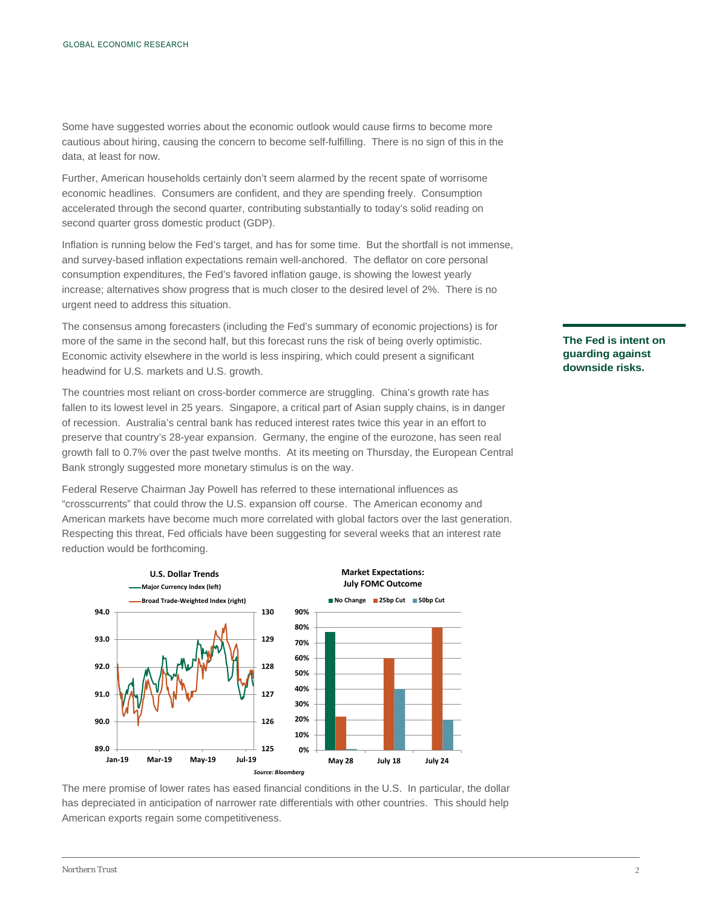Some have suggested worries about the economic outlook would cause firms to become more cautious about hiring, causing the concern to become self-fulfilling. There is no sign of this in the data, at least for now.

Further, American households certainly don't seem alarmed by the recent spate of worrisome economic headlines. Consumers are confident, and they are spending freely. Consumption accelerated through the second quarter, contributing substantially to today's solid reading on second quarter gross domestic product (GDP).

Inflation is running below the Fed's target, and has for some time. But the shortfall is not immense, and survey-based inflation expectations remain well-anchored. The deflator on core personal consumption expenditures, the Fed's favored inflation gauge, is showing the lowest yearly increase; alternatives show progress that is much closer to the desired level of 2%. There is no urgent need to address this situation.

The consensus among forecasters (including the Fed's summary of economic projections) is for more of the same in the second half, but this forecast runs the risk of being overly optimistic. Economic activity elsewhere in the world is less inspiring, which could present a significant headwind for U.S. markets and U.S. growth.

The countries most reliant on cross-border commerce are struggling. China's growth rate has fallen to its lowest level in 25 years. Singapore, a critical part of Asian supply chains, is in danger of recession. Australia's central bank has reduced interest rates twice this year in an effort to preserve that country's 28-year expansion. Germany, the engine of the eurozone, has seen real growth fall to 0.7% over the past twelve months. At its meeting on Thursday, the European Central Bank strongly suggested more monetary stimulus is on the way.

Federal Reserve Chairman Jay Powell has referred to these international influences as "crosscurrents" that could throw the U.S. expansion off course. The American economy and American markets have become much more correlated with global factors over the last generation. Respecting this threat, Fed officials have been suggesting for several weeks that an interest rate reduction would be forthcoming.



The mere promise of lower rates has eased financial conditions in the U.S. In particular, the dollar has depreciated in anticipation of narrower rate differentials with other countries. This should help American exports regain some competitiveness.

#### **The Fed is intent on guarding against downside risks.**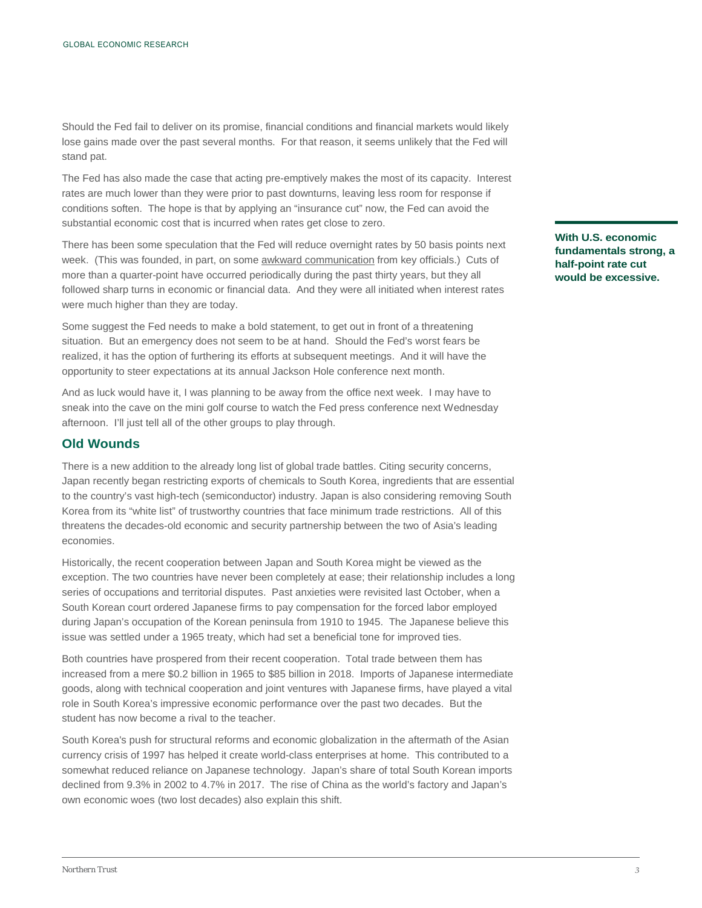Should the Fed fail to deliver on its promise, financial conditions and financial markets would likely lose gains made over the past several months. For that reason, it seems unlikely that the Fed will stand pat.

The Fed has also made the case that acting pre-emptively makes the most of its capacity. Interest rates are much lower than they were prior to past downturns, leaving less room for response if conditions soften. The hope is that by applying an "insurance cut" now, the Fed can avoid the substantial economic cost that is incurred when rates get close to zero.

There has been some speculation that the Fed will reduce overnight rates by 50 basis points next week. (This was founded, in part, on some [awkward communication](https://www.ft.com/content/15c2d8c6-aa39-11e9-b6ee-3cdf3174eb89) from key officials.) Cuts of more than a quarter-point have occurred periodically during the past thirty years, but they all followed sharp turns in economic or financial data. And they were all initiated when interest rates were much higher than they are today.

Some suggest the Fed needs to make a bold statement, to get out in front of a threatening situation. But an emergency does not seem to be at hand. Should the Fed's worst fears be realized, it has the option of furthering its efforts at subsequent meetings. And it will have the opportunity to steer expectations at its annual Jackson Hole conference next month.

And as luck would have it, I was planning to be away from the office next week. I may have to sneak into the cave on the mini golf course to watch the Fed press conference next Wednesday afternoon. I'll just tell all of the other groups to play through.

#### **Old Wounds**

There is a new addition to the already long list of global trade battles. Citing security concerns, Japan recently began restricting exports of chemicals to South Korea, ingredients that are essential to the country's vast high-tech (semiconductor) industry. Japan is also considering removing South Korea from its "white list" of trustworthy countries that face minimum trade restrictions. All of this threatens the decades-old economic and security partnership between the two of Asia's leading economies.

Historically, the recent cooperation between Japan and South Korea might be viewed as the exception. The two countries have never been completely at ease; their relationship includes a long series of occupations and territorial disputes. Past anxieties were revisited last October, when a South Korean court ordered Japanese firms to pay compensation for the forced labor employed during Japan's occupation of the Korean peninsula from 1910 to 1945. The Japanese believe this issue was settled under a 1965 treaty, which had set a beneficial tone for improved ties.

Both countries have prospered from their recent cooperation. Total trade between them has increased from a mere \$0.2 billion in 1965 to \$85 billion in 2018. Imports of Japanese intermediate goods, along with technical cooperation and joint ventures with Japanese firms, have played a vital role in South Korea's impressive economic performance over the past two decades. But the student has now become a rival to the teacher.

South Korea's push for structural reforms and economic globalization in the aftermath of the Asian currency crisis of 1997 has helped it create world-class enterprises at home. This contributed to a somewhat reduced reliance on Japanese technology. Japan's share of total South Korean imports declined from 9.3% in 2002 to 4.7% in 2017. The rise of China as the world's factory and Japan's own economic woes (two lost decades) also explain this shift.

**With U.S. economic fundamentals strong, a half-point rate cut would be excessive.**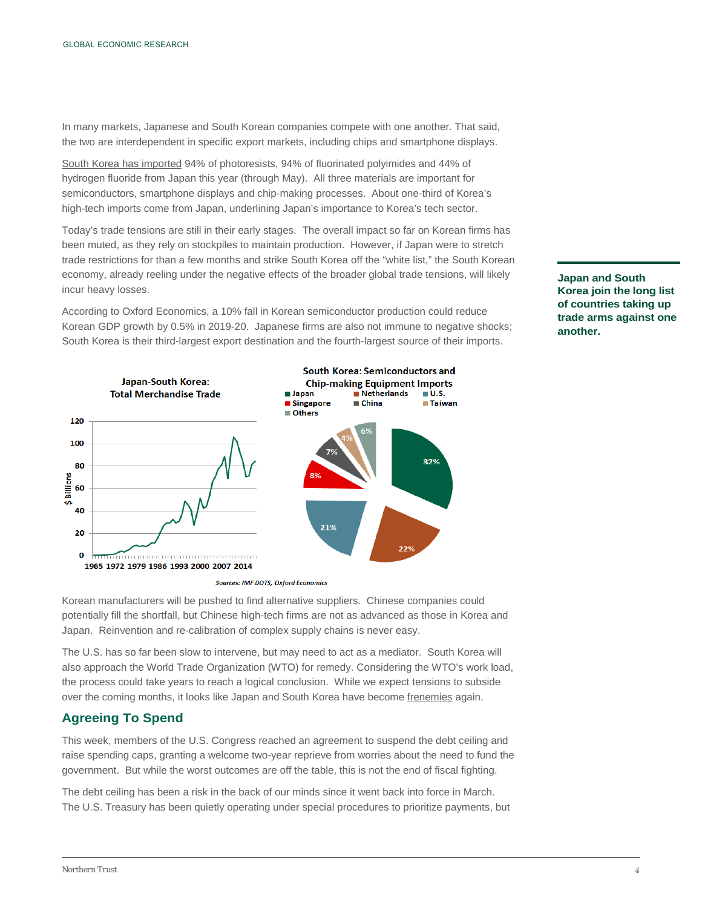In many markets, Japanese and South Korean companies compete with one another. That said, the two are interdependent in specific export markets, including chips and smartphone displays.

[South Korea has imported](https://www.cnbc.com/2019/07/18/reuters-america-analysis-japan-south-korea-gloom-spurs-worries-of-never-seen-before-chip-price-spike.html) 94% of photoresists, 94% of fluorinated polyimides and 44% of hydrogen fluoride from Japan this year (through May). All three materials are important for semiconductors, smartphone displays and chip-making processes. About one-third of Korea's high-tech imports come from Japan, underlining Japan's importance to Korea's tech sector.

Today's trade tensions are still in their early stages. The overall impact so far on Korean firms has been muted, as they rely on stockpiles to maintain production. However, if Japan were to stretch trade restrictions for than a few months and strike South Korea off the "white list," the South Korean economy, already reeling under the negative effects of the broader global trade tensions, will likely incur heavy losses.

South Korea: Semiconductors and **Japan-South Korea: Chip-making Equipment Imports Total Merchandise Trade Japan** Netherlands  $\mathbf{u}$ .s. ■ Singapore  $\blacksquare$  China ■ Taiwan Others 120 100 32% 80 \$Billions 60 40 21% 20 Ō 1965 1972 1979 1986 1993 2000 2007 2014

According to Oxford Economics, a 10% fall in Korean semiconductor production could reduce Korean GDP growth by 0.5% in 2019-20. Japanese firms are also not immune to negative shocks; South Korea is their third-largest export destination and the fourth-largest source of their imports.

**Sources: IMF DOTS, Oxford Economics** 

Korean manufacturers will be pushed to find alternative suppliers. Chinese companies could potentially fill the shortfall, but Chinese high-tech firms are not as advanced as those in Korea and Japan. Reinvention and re-calibration of complex supply chains is never easy.

The U.S. has so far been slow to intervene, but may need to act as a mediator. South Korea will also approach the World Trade Organization (WTO) for remedy. Considering the WTO's work load, the process could take years to reach a logical conclusion. While we expect tensions to subside over the coming months, it looks like Japan and South Korea have become [frenemies](https://www.northerntrust.com/united-states/insights-research/2019/market-economic-commentary/wec/april-12) again.

### **Agreeing To Spend**

This week, members of the U.S. Congress reached an agreement to suspend the debt ceiling and raise spending caps, granting a welcome two-year reprieve from worries about the need to fund the government. But while the worst outcomes are off the table, this is not the end of fiscal fighting.

The debt ceiling has been a risk in the back of our minds since it went back into force in March. The U.S. Treasury has been quietly operating under special procedures to prioritize payments, but

**Japan and South Korea join the long list of countries taking up trade arms against one another.**